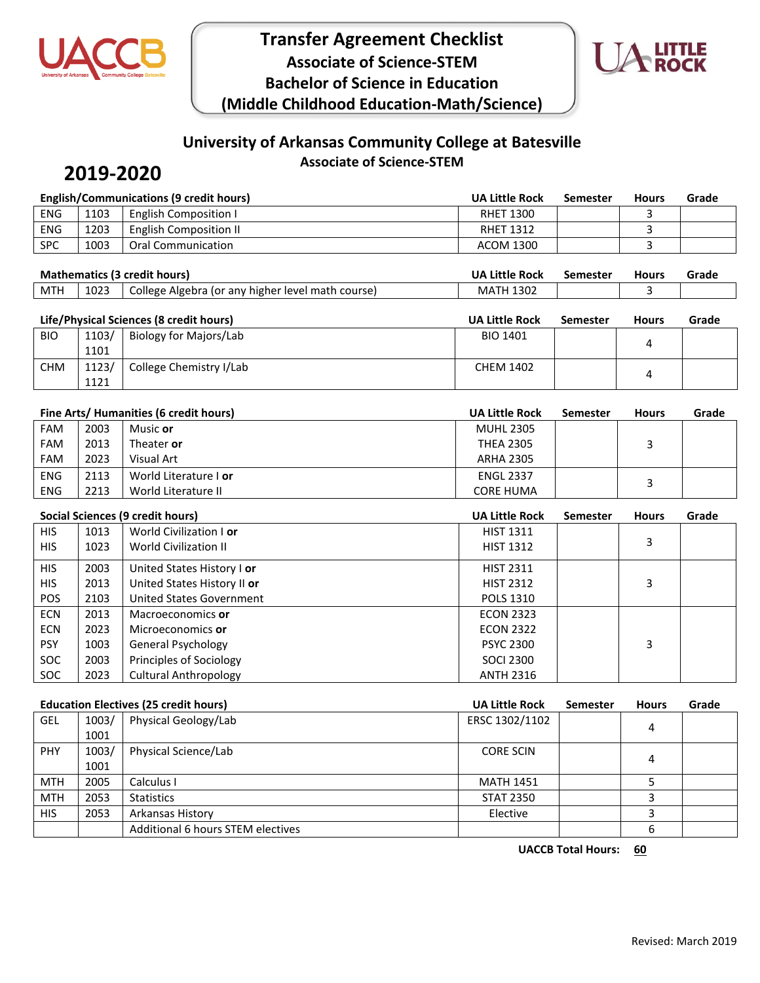



## **University of Arkansas Community College at Batesville Associate of Science-STEM**

# **2019-2020**

| <b>English/Communications (9 credit hours)</b> |      |                              | <b>UA Little Rock</b> | Semester | Hours | Grade |
|------------------------------------------------|------|------------------------------|-----------------------|----------|-------|-------|
| <b>ENG</b>                                     | 1103 | <b>English Composition I</b> | <b>RHET 1300</b>      |          |       |       |
| ENG                                            | 1203 | English Composition II       | <b>RHET 1312</b>      |          |       |       |
| <b>SPC</b>                                     | 1003 | Oral Communication           | ACOM 1300             |          |       |       |

| <b>Mathematics (3 credit hours)</b> |      |                                                   | UA Little Rock   | Semester | <b>Hours</b> | Grade |
|-------------------------------------|------|---------------------------------------------------|------------------|----------|--------------|-------|
| MTH                                 | 1023 | College Algebra (or any higher level math course) | <b>MATH 1302</b> |          |              |       |
|                                     |      |                                                   |                  |          |              |       |

| Life/Physical Sciences (8 credit hours) |       |                         | <b>UA Little Rock</b> | <b>Semester</b> | <b>Hours</b> | Grade |
|-----------------------------------------|-------|-------------------------|-----------------------|-----------------|--------------|-------|
| <b>BIO</b>                              | 1103/ | Biology for Majors/Lab  | <b>BIO 1401</b>       |                 |              |       |
|                                         | 1101  |                         |                       |                 |              |       |
| <b>CHM</b>                              | 1123/ | College Chemistry I/Lab | <b>CHEM 1402</b>      |                 |              |       |
|                                         | 1121  |                         |                       |                 |              |       |

|            |      | Fine Arts/ Humanities (6 credit hours) | <b>UA Little Rock</b> | <b>Semester</b> | <b>Hours</b> | Grade |
|------------|------|----------------------------------------|-----------------------|-----------------|--------------|-------|
| <b>FAM</b> | 2003 | Music or                               | <b>MUHL 2305</b>      |                 |              |       |
| <b>FAM</b> | 2013 | Theater or                             | <b>THEA 2305</b>      |                 |              |       |
| <b>FAM</b> | 2023 | Visual Art                             | <b>ARHA 2305</b>      |                 |              |       |
| <b>ENG</b> | 2113 | World Literature I or                  | <b>ENGL 2337</b>      |                 |              |       |
| <b>ENG</b> | 2213 | World Literature II                    | <b>CORE HUMA</b>      |                 |              |       |

|            |      | Social Sciences (9 credit hours) | <b>UA Little Rock</b> | <b>Semester</b> | <b>Hours</b> | Grade |
|------------|------|----------------------------------|-----------------------|-----------------|--------------|-------|
| <b>HIS</b> | 1013 | World Civilization I or          | <b>HIST 1311</b>      |                 |              |       |
| <b>HIS</b> | 1023 | <b>World Civilization II</b>     | <b>HIST 1312</b>      |                 | 3            |       |
| <b>HIS</b> | 2003 | United States History I or       | <b>HIST 2311</b>      |                 |              |       |
| <b>HIS</b> | 2013 | United States History II or      | <b>HIST 2312</b>      |                 | 3            |       |
| <b>POS</b> | 2103 | <b>United States Government</b>  | <b>POLS 1310</b>      |                 |              |       |
| <b>ECN</b> | 2013 | Macroeconomics or                | <b>ECON 2323</b>      |                 |              |       |
| <b>ECN</b> | 2023 | Microeconomics or                | <b>ECON 2322</b>      |                 |              |       |
| <b>PSY</b> | 1003 | General Psychology               | <b>PSYC 2300</b>      |                 | 3            |       |
| <b>SOC</b> | 2003 | Principles of Sociology          | <b>SOCI 2300</b>      |                 |              |       |
| <b>SOC</b> | 2023 | <b>Cultural Anthropology</b>     | <b>ANTH 2316</b>      |                 |              |       |

|            |       | <b>Education Electives (25 credit hours)</b> | <b>UA Little Rock</b> | Semester | <b>Hours</b> | Grade |
|------------|-------|----------------------------------------------|-----------------------|----------|--------------|-------|
| <b>GEL</b> | 1003/ | Physical Geology/Lab                         | ERSC 1302/1102        |          | 4            |       |
|            | 1001  |                                              |                       |          |              |       |
| <b>PHY</b> | 1003/ | Physical Science/Lab                         | <b>CORE SCIN</b>      |          | 4            |       |
|            | 1001  |                                              |                       |          |              |       |
| <b>MTH</b> | 2005  | Calculus I                                   | <b>MATH 1451</b>      |          |              |       |
| <b>MTH</b> | 2053  | <b>Statistics</b>                            | <b>STAT 2350</b>      |          |              |       |
| <b>HIS</b> | 2053  | Arkansas History                             | Elective              |          |              |       |
|            |       | Additional 6 hours STEM electives            |                       |          | 6            |       |

**UACCB Total Hours: 60**